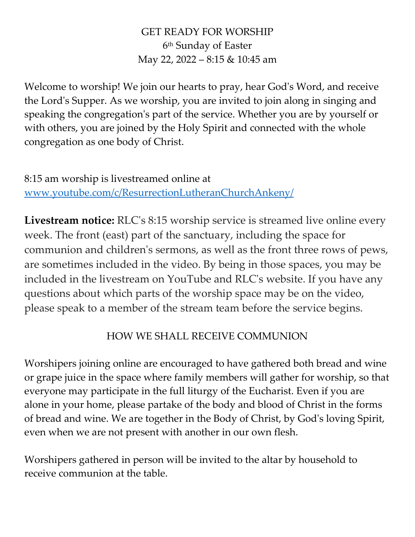#### GET READY FOR WORSHIP 6 th Sunday of Easter May 22, 2022 – 8:15 & 10:45 am

Welcome to worship! We join our hearts to pray, hear God's Word, and receive the Lord's Supper. As we worship, you are invited to join along in singing and speaking the congregation's part of the service. Whether you are by yourself or with others, you are joined by the Holy Spirit and connected with the whole congregation as one body of Christ.

8:15 am worship is livestreamed online at [www.youtube.com/c/ResurrectionLutheranChurchAnkeny/](http://www.youtube.com/c/ResurrectionLutheranChurchAnkeny/)

**Livestream notice:** RLC's 8:15 worship service is streamed live online every week. The front (east) part of the sanctuary, including the space for communion and children's sermons, as well as the front three rows of pews, are sometimes included in the video. By being in those spaces, you may be included in the livestream on YouTube and RLC's website. If you have any questions about which parts of the worship space may be on the video, please speak to a member of the stream team before the service begins.

#### HOW WE SHALL RECEIVE COMMUNION

Worshipers joining online are encouraged to have gathered both bread and wine or grape juice in the space where family members will gather for worship, so that everyone may participate in the full liturgy of the Eucharist. Even if you are alone in your home, please partake of the body and blood of Christ in the forms of bread and wine. We are together in the Body of Christ, by God's loving Spirit, even when we are not present with another in our own flesh.

Worshipers gathered in person will be invited to the altar by household to receive communion at the table.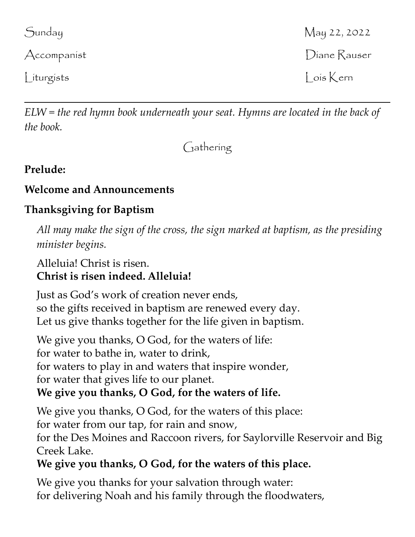# Liturgists Lois Kern

*ELW = the red hymn book underneath your seat. Hymns are located in the back of the book.*

Gathering

# **Prelude:**

# **Welcome and Announcements**

# **Thanksgiving for Baptism**

*All may make the sign of the cross, the sign marked at baptism, as the presiding minister begins.*

#### Alleluia! Christ is risen. **Christ is risen indeed. Alleluia!**

Just as God's work of creation never ends, so the gifts received in baptism are renewed every day. Let us give thanks together for the life given in baptism.

We give you thanks, O God, for the waters of life: for water to bathe in, water to drink, for waters to play in and waters that inspire wonder, for water that gives life to our planet. **We give you thanks, O God, for the waters of life.**

We give you thanks, O God, for the waters of this place: for water from our tap, for rain and snow, for the Des Moines and Raccoon rivers, for Saylorville Reservoir and Big Creek Lake.

# **We give you thanks, O God, for the waters of this place.**

We give you thanks for your salvation through water: for delivering Noah and his family through the floodwaters,

Sunday May 22, 2022 Accompanist **Diane Rauser**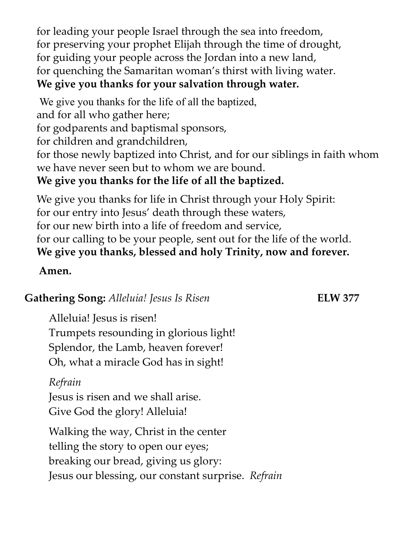for leading your people Israel through the sea into freedom, for preserving your prophet Elijah through the time of drought, for guiding your people across the Jordan into a new land, for quenching the Samaritan woman's thirst with living water. **We give you thanks for your salvation through water.**

We give you thanks for the life of all the baptized, and for all who gather here; for godparents and baptismal sponsors, for children and grandchildren, for those newly baptized into Christ, and for our siblings in faith whom we have never seen but to whom we are bound. **We give you thanks for the life of all the baptized.**

We give you thanks for life in Christ through your Holy Spirit: for our entry into Jesus' death through these waters, for our new birth into a life of freedom and service, for our calling to be your people, sent out for the life of the world. **We give you thanks, blessed and holy Trinity, now and forever.**

#### **Amen.**

# **Gathering Song:** *Alleluia! Jesus Is Risen* **ELW 377**

Alleluia! Jesus is risen! Trumpets resounding in glorious light! Splendor, the Lamb, heaven forever! Oh, what a miracle God has in sight!

### *Refrain*

Jesus is risen and we shall arise. Give God the glory! Alleluia!

Walking the way, Christ in the center telling the story to open our eyes; breaking our bread, giving us glory: Jesus our blessing, our constant surprise. *Refrain*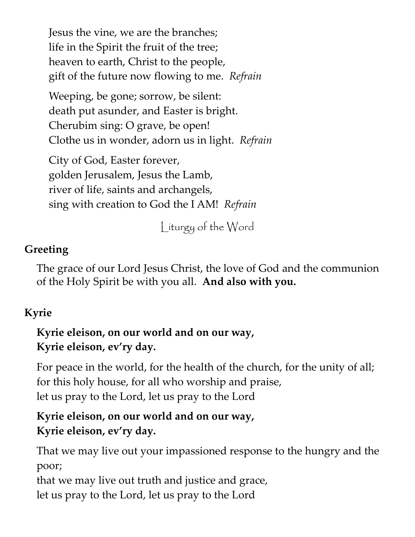Jesus the vine, we are the branches; life in the Spirit the fruit of the tree; heaven to earth, Christ to the people, gift of the future now flowing to me. *Refrain*

Weeping, be gone; sorrow, be silent: death put asunder, and Easter is bright. Cherubim sing: O grave, be open! Clothe us in wonder, adorn us in light. *Refrain*

City of God, Easter forever, golden Jerusalem, Jesus the Lamb, river of life, saints and archangels, sing with creation to God the I AM! *Refrain*

Liturgy of the Word

# **Greeting**

The grace of our Lord Jesus Christ, the love of God and the communion of the Holy Spirit be with you all. **And also with you.**

# **Kyrie**

# **Kyrie eleison, on our world and on our way, Kyrie eleison, ev'ry day.**

For peace in the world, for the health of the church, for the unity of all; for this holy house, for all who worship and praise, let us pray to the Lord, let us pray to the Lord

# **Kyrie eleison, on our world and on our way, Kyrie eleison, ev'ry day.**

That we may live out your impassioned response to the hungry and the poor;

that we may live out truth and justice and grace, let us pray to the Lord, let us pray to the Lord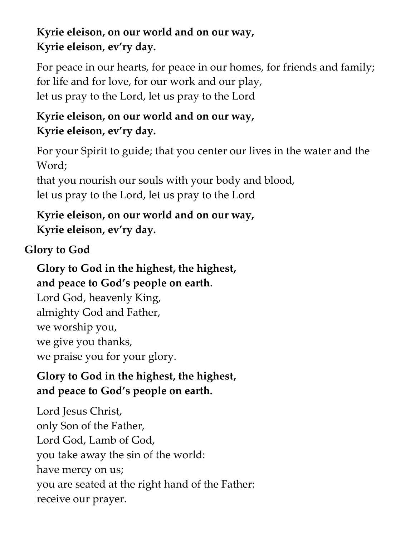# **Kyrie eleison, on our world and on our way, Kyrie eleison, ev'ry day.**

For peace in our hearts, for peace in our homes, for friends and family; for life and for love, for our work and our play, let us pray to the Lord, let us pray to the Lord

# **Kyrie eleison, on our world and on our way, Kyrie eleison, ev'ry day.**

For your Spirit to guide; that you center our lives in the water and the Word;

that you nourish our souls with your body and blood, let us pray to the Lord, let us pray to the Lord

# **Kyrie eleison, on our world and on our way, Kyrie eleison, ev'ry day.**

# **Glory to God**

**Glory to God in the highest, the highest, and peace to God's people on earth**. Lord God, heavenly King, almighty God and Father, we worship you, we give you thanks, we praise you for your glory.

# **Glory to God in the highest, the highest, and peace to God's people on earth.**

Lord Jesus Christ, only Son of the Father, Lord God, Lamb of God, you take away the sin of the world: have mercy on us; you are seated at the right hand of the Father: receive our prayer.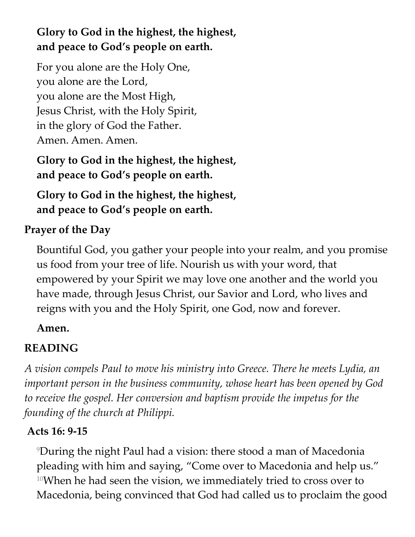# **Glory to God in the highest, the highest, and peace to God's people on earth.**

For you alone are the Holy One, you alone are the Lord, you alone are the Most High, Jesus Christ, with the Holy Spirit, in the glory of God the Father. Amen. Amen. Amen.

**Glory to God in the highest, the highest, and peace to God's people on earth.**

**Glory to God in the highest, the highest, and peace to God's people on earth.**

# **Prayer of the Day**

Bountiful God, you gather your people into your realm, and you promise us food from your tree of life. Nourish us with your word, that empowered by your Spirit we may love one another and the world you have made, through Jesus Christ, our Savior and Lord, who lives and reigns with you and the Holy Spirit, one God, now and forever.

### **Amen.**

# **READING**

*A vision compels Paul to move his ministry into Greece. There he meets Lydia, an important person in the business community, whose heart has been opened by God*  to receive the gospel. Her conversion and baptism provide the impetus for the *founding of the church at Philippi.*

# **Acts 16: 9-15**

<sup>9</sup>During the night Paul had a vision: there stood a man of Macedonia pleading with him and saying, "Come over to Macedonia and help us." <sup>10</sup>When he had seen the vision, we immediately tried to cross over to Macedonia, being convinced that God had called us to proclaim the good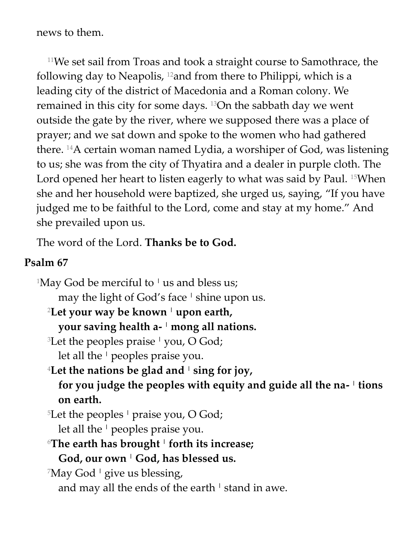news to them.

<sup>11</sup>We set sail from Troas and took a straight course to Samothrace, the following day to Neapolis,  $12$  and from there to Philippi, which is a leading city of the district of Macedonia and a Roman colony. We remained in this city for some days. 13On the sabbath day we went outside the gate by the river, where we supposed there was a place of prayer; and we sat down and spoke to the women who had gathered there. 14A certain woman named Lydia, a worshiper of God, was listening to us; she was from the city of Thyatira and a dealer in purple cloth. The Lord opened her heart to listen eagerly to what was said by Paul. 15When she and her household were baptized, she urged us, saying, "If you have judged me to be faithful to the Lord, come and stay at my home." And she prevailed upon us.

The word of the Lord. **Thanks be to God.**

#### **Psalm 67**

<sup>1</sup>May God be merciful to <sup>1</sup> us and bless us; may the light of God's face **<sup>|</sup>** shine upon us. <sup>2</sup>**Let your way be known <sup>|</sup> upon earth, your saving health a- <sup>|</sup> mong all nations.** <sup>3</sup>Let the peoples praise **<sup>|</sup>** you, O God; let all the **<sup>|</sup>** peoples praise you. <sup>4</sup>**Let the nations be glad and <sup>|</sup> sing for joy, for you judge the peoples with equity and guide all the na- | tions on earth.** <sup>5</sup>Let the peoples **<sup>|</sup>** praise you, O God; let all the **<sup>|</sup>** peoples praise you. <sup>6</sup>**The earth has brought <sup>|</sup> forth its increase; God, our own <sup>|</sup> God, has blessed us.** <sup>7</sup>May God **<sup>|</sup>** give us blessing, and may all the ends of the earth **<sup>|</sup>** stand in awe.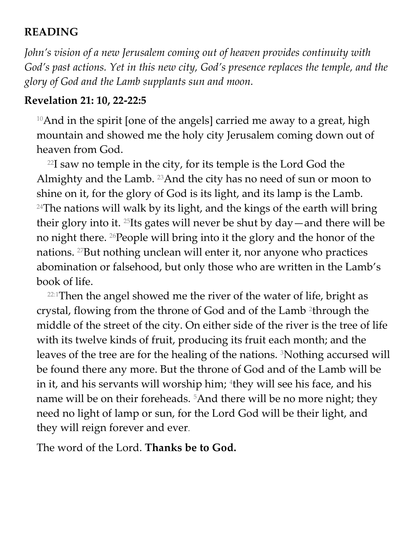#### **READING**

*John's vision of a new Jerusalem coming out of heaven provides continuity with God's past actions. Yet in this new city, God's presence replaces the temple, and the glory of God and the Lamb supplants sun and moon.*

#### **Revelation 21: 10, 22-22:5**

<sup>10</sup>And in the spirit [one of the angels] carried me away to a great, high mountain and showed me the holy city Jerusalem coming down out of heaven from God.

 $22I$  saw no temple in the city, for its temple is the Lord God the Almighty and the Lamb. 23And the city has no need of sun or moon to shine on it, for the glory of God is its light, and its lamp is the Lamb.  $24$ The nations will walk by its light, and the kings of the earth will bring their glory into it. 25Its gates will never be shut by day—and there will be no night there. 26People will bring into it the glory and the honor of the nations. 27But nothing unclean will enter it, nor anyone who practices abomination or falsehood, but only those who are written in the Lamb's book of life.

 $22:1$ Then the angel showed me the river of the water of life, bright as crystal, flowing from the throne of God and of the Lamb <sup>2</sup> through the middle of the street of the city. On either side of the river is the tree of life with its twelve kinds of fruit, producing its fruit each month; and the leaves of the tree are for the healing of the nations. 3Nothing accursed will be found there any more. But the throne of God and of the Lamb will be in it, and his servants will worship him; <sup>4</sup>they will see his face, and his name will be on their foreheads.<sup>5</sup>And there will be no more night; they need no light of lamp or sun, for the Lord God will be their light, and they will reign forever and ever.

The word of the Lord. **Thanks be to God.**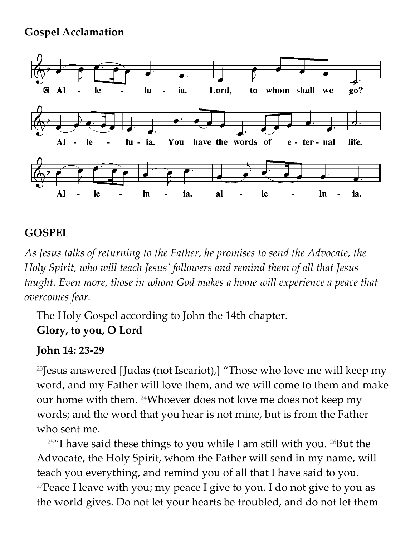#### **Gospel Acclamation**



#### **GOSPEL**

*As Jesus talks of returning to the Father, he promises to send the Advocate, the Holy Spirit, who will teach Jesus' followers and remind them of all that Jesus taught. Even more, those in whom God makes a home will experience a peace that overcomes fear.*

The Holy Gospel according to John the 14th chapter. **Glory, to you, O Lord**

### **John 14: 23-29**

<sup>23</sup>Jesus answered [Judas (not Iscariot),] "Those who love me will keep my word, and my Father will love them, and we will come to them and make our home with them. 24Whoever does not love me does not keep my words; and the word that you hear is not mine, but is from the Father who sent me.

 $25$ "I have said these things to you while I am still with you.  $26$ But the Advocate, the Holy Spirit, whom the Father will send in my name, will teach you everything, and remind you of all that I have said to you. <sup>27</sup>Peace I leave with you; my peace I give to you. I do not give to you as the world gives. Do not let your hearts be troubled, and do not let them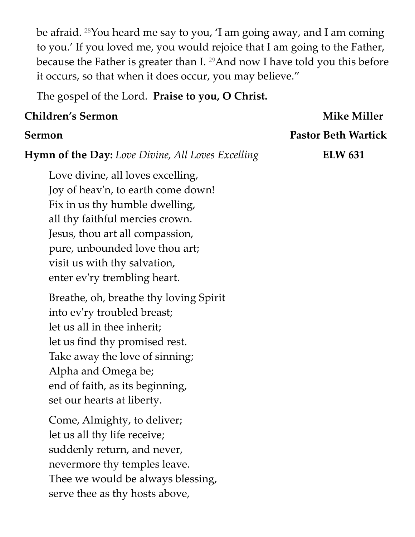be afraid. 28You heard me say to you, 'I am going away, and I am coming to you.' If you loved me, you would rejoice that I am going to the Father, because the Father is greater than I. 29And now I have told you this before it occurs, so that when it does occur, you may believe."

The gospel of the Lord. **Praise to you, O Christ.**

#### **Children's Sermon** Mike Miller

# **Sermon Pastor Beth Wartick**

**Hymn of the Day:** Love Divine, All Loves Excelling **ELW 631** 

Love divine, all loves excelling, Joy of heav'n, to earth come down! Fix in us thy humble dwelling, all thy faithful mercies crown. Jesus, thou art all compassion, pure, unbounded love thou art; visit us with thy salvation, enter ev'ry trembling heart.

Breathe, oh, breathe thy loving Spirit into ev'ry troubled breast; let us all in thee inherit; let us find thy promised rest. Take away the love of sinning; Alpha and Omega be; end of faith, as its beginning, set our hearts at liberty.

Come, Almighty, to deliver; let us all thy life receive; suddenly return, and never, nevermore thy temples leave. Thee we would be always blessing, serve thee as thy hosts above,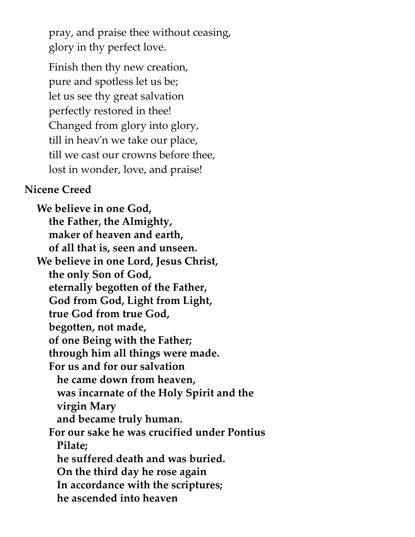pray, and praise thee without ceasing, glory in thy perfect love.

Finish then thy new creation, pure and spotless let us be; let us see thy great salvation perfectly restored in thee! Changed from glory into glory, till in heav'n we take our place, till we cast our crowns before thee, lost in wonder, love, and praise!

#### **Nicene Creed**

**We believe in one God, the Father, the Almighty, maker of heaven and earth, of all that is, seen and unseen. We believe in one Lord, Jesus Christ, the only Son of God, eternally begotten of the Father, God from God, Light from Light, true God from true God, begotten, not made, of one Being with the Father; through him all things were made. For us and for our salvation he came down from heaven, was incarnate of the Holy Spirit and the virgin Mary and became truly human. For our sake he was crucified under Pontius Pilate; he suffered death and was buried. On the third day he rose again In accordance with the scriptures; he ascended into heaven**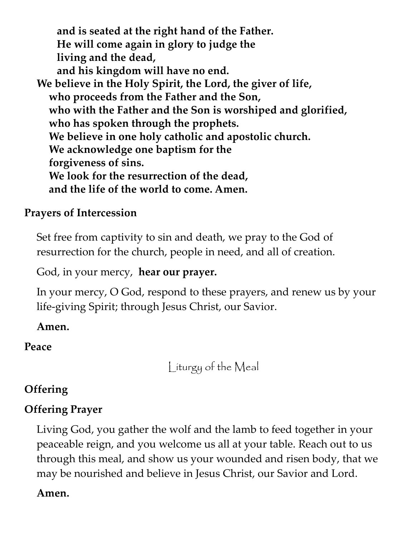**and is seated at the right hand of the Father. He will come again in glory to judge the living and the dead, and his kingdom will have no end. We believe in the Holy Spirit, the Lord, the giver of life, who proceeds from the Father and the Son, who with the Father and the Son is worshiped and glorified, who has spoken through the prophets. We believe in one holy catholic and apostolic church. We acknowledge one baptism for the forgiveness of sins. We look for the resurrection of the dead, and the life of the world to come. Amen.**

#### **Prayers of Intercession**

Set free from captivity to sin and death, we pray to the God of resurrection for the church, people in need, and all of creation.

God, in your mercy, **hear our prayer.**

In your mercy, O God, respond to these prayers, and renew us by your life-giving Spirit; through Jesus Christ, our Savior.

**Amen.**

**Peace**

Liturgy of the Meal

# **Offering**

# **Offering Prayer**

Living God, you gather the wolf and the lamb to feed together in your peaceable reign, and you welcome us all at your table. Reach out to us through this meal, and show us your wounded and risen body, that we may be nourished and believe in Jesus Christ, our Savior and Lord.

#### **Amen.**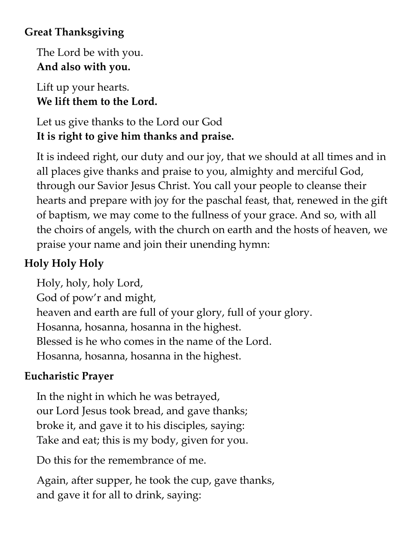# **Great Thanksgiving**

The Lord be with you. **And also with you.**

Lift up your hearts. **We lift them to the Lord.**

Let us give thanks to the Lord our God **It is right to give him thanks and praise.**

It is indeed right, our duty and our joy, that we should at all times and in all places give thanks and praise to you, almighty and merciful God, through our Savior Jesus Christ. You call your people to cleanse their hearts and prepare with joy for the paschal feast, that, renewed in the gift of baptism, we may come to the fullness of your grace. And so, with all the choirs of angels, with the church on earth and the hosts of heaven, we praise your name and join their unending hymn:

# **Holy Holy Holy**

Holy, holy, holy Lord, God of pow'r and might, heaven and earth are full of your glory, full of your glory. Hosanna, hosanna, hosanna in the highest. Blessed is he who comes in the name of the Lord. Hosanna, hosanna, hosanna in the highest.

# **Eucharistic Prayer**

In the night in which he was betrayed, our Lord Jesus took bread, and gave thanks; broke it, and gave it to his disciples, saying: Take and eat; this is my body, given for you.

Do this for the remembrance of me.

Again, after supper, he took the cup, gave thanks, and gave it for all to drink, saying: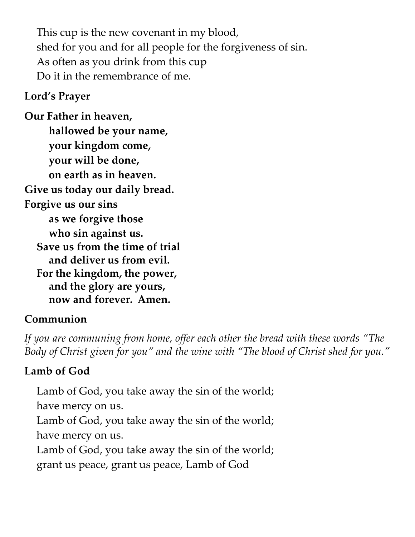This cup is the new covenant in my blood, shed for you and for all people for the forgiveness of sin. As often as you drink from this cup Do it in the remembrance of me.

#### **Lord's Prayer**

**Our Father in heaven, hallowed be your name, your kingdom come, your will be done, on earth as in heaven. Give us today our daily bread. Forgive us our sins as we forgive those who sin against us. Save us from the time of trial and deliver us from evil. For the kingdom, the power, and the glory are yours, now and forever. Amen.**

### **Communion**

*If you are communing from home, offer each other the bread with these words "The Body of Christ given for you" and the wine with "The blood of Christ shed for you."*

# **Lamb of God**

Lamb of God, you take away the sin of the world; have mercy on us. Lamb of God, you take away the sin of the world; have mercy on us. Lamb of God, you take away the sin of the world; grant us peace, grant us peace, Lamb of God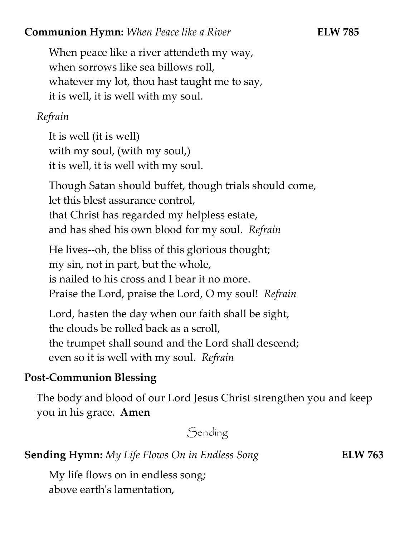#### **Communion Hymn:** *When Peace like a River* **ELW 785**

When peace like a river attendeth my way, when sorrows like sea billows roll, whatever my lot, thou hast taught me to say, it is well, it is well with my soul.

#### *Refrain*

It is well (it is well) with my soul, (with my soul,) it is well, it is well with my soul.

Though Satan should buffet, though trials should come, let this blest assurance control, that Christ has regarded my helpless estate, and has shed his own blood for my soul. *Refrain*

He lives--oh, the bliss of this glorious thought; my sin, not in part, but the whole, is nailed to his cross and I bear it no more. Praise the Lord, praise the Lord, O my soul! *Refrain*

Lord, hasten the day when our faith shall be sight, the clouds be rolled back as a scroll, the trumpet shall sound and the Lord shall descend; even so it is well with my soul. *Refrain*

# **Post-Communion Blessing**

The body and blood of our Lord Jesus Christ strengthen you and keep you in his grace. **Amen**

Sending

#### **Sending Hymn:** *My Life Flows On in Endless Song* **ELW 763**

My life flows on in endless song; above earth's lamentation,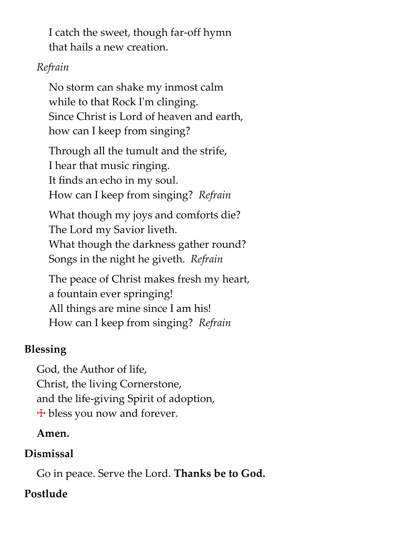I catch the sweet, though far-off hymn that hails a new creation.

#### *Refrain*

No storm can shake my inmost calm while to that Rock I'm clinging. Since Christ is Lord of heaven and earth, how can I keep from singing?

Through all the tumult and the strife, I hear that music ringing. It finds an echo in my soul. How can I keep from singing? *Refrain*

What though my joys and comforts die? The Lord my Savior liveth. What though the darkness gather round? Songs in the night he giveth. *Refrain*

The peace of Christ makes fresh my heart, a fountain ever springing! All things are mine since I am his! How can I keep from singing? *Refrain*

# **Blessing**

God, the Author of life, Christ, the living Cornerstone, and the life-giving Spirit of adoption,  $+$  bless you now and forever.

# **Amen.**

# **Dismissal**

Go in peace. Serve the Lord. **Thanks be to God.**

# **Postlude**